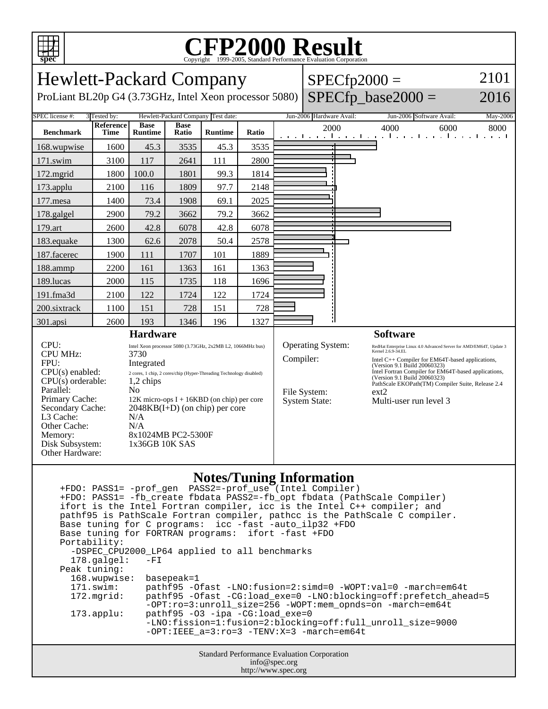

## C<sub>opyright</sub> ©1999-2005, Standard Performance Evaluation Corporation

| <b>Hewlett-Packard Company</b>                                                                                                                                                                             |                                                                                                                                                                                                                                                                                                                                               |                                    |                      |                | $SPECfp2000 =$           |                                                                                                                                                                                                |                          | 2101                                                                                                                                                                                                                                 |                                                                  |      |
|------------------------------------------------------------------------------------------------------------------------------------------------------------------------------------------------------------|-----------------------------------------------------------------------------------------------------------------------------------------------------------------------------------------------------------------------------------------------------------------------------------------------------------------------------------------------|------------------------------------|----------------------|----------------|--------------------------|------------------------------------------------------------------------------------------------------------------------------------------------------------------------------------------------|--------------------------|--------------------------------------------------------------------------------------------------------------------------------------------------------------------------------------------------------------------------------------|------------------------------------------------------------------|------|
| ProLiant BL20p G4 (3.73GHz, Intel Xeon processor 5080)                                                                                                                                                     |                                                                                                                                                                                                                                                                                                                                               |                                    |                      |                |                          |                                                                                                                                                                                                |                          | $SPECfp\_base2000 =$                                                                                                                                                                                                                 | 2016                                                             |      |
| SPEC license #:<br>3 Tested by:                                                                                                                                                                            |                                                                                                                                                                                                                                                                                                                                               | Hewlett-Packard Company Test date: |                      |                | Jun-2006 Hardware Avail: |                                                                                                                                                                                                | Jun-2006 Software Avail: | May-2006                                                                                                                                                                                                                             |                                                                  |      |
| <b>Benchmark</b>                                                                                                                                                                                           | Reference<br>Time                                                                                                                                                                                                                                                                                                                             | <b>Base</b><br><b>Runtime</b>      | <b>Base</b><br>Ratio | <b>Runtime</b> | Ratio                    |                                                                                                                                                                                                | 2000                     |                                                                                                                                                                                                                                      | 4000<br>6000<br>المتوجبا وتوجيل وتوجيل وتوجا وتوجيل وتوجيل وتوجي | 8000 |
| 168.wupwise                                                                                                                                                                                                | 1600                                                                                                                                                                                                                                                                                                                                          | 45.3                               | 3535                 | 45.3           | 3535                     |                                                                                                                                                                                                |                          |                                                                                                                                                                                                                                      |                                                                  |      |
| 171.swim                                                                                                                                                                                                   | 3100                                                                                                                                                                                                                                                                                                                                          | 117                                | 2641                 | 111            | 2800                     |                                                                                                                                                                                                |                          |                                                                                                                                                                                                                                      |                                                                  |      |
| 172.mgrid                                                                                                                                                                                                  | 1800                                                                                                                                                                                                                                                                                                                                          | 100.0                              | 1801                 | 99.3           | 1814                     |                                                                                                                                                                                                |                          |                                                                                                                                                                                                                                      |                                                                  |      |
| 173.applu                                                                                                                                                                                                  | 2100                                                                                                                                                                                                                                                                                                                                          | 116                                | 1809                 | 97.7           | 2148                     |                                                                                                                                                                                                |                          |                                                                                                                                                                                                                                      |                                                                  |      |
| 177.mesa                                                                                                                                                                                                   | 1400                                                                                                                                                                                                                                                                                                                                          | 73.4                               | 1908                 | 69.1           | 2025                     |                                                                                                                                                                                                |                          |                                                                                                                                                                                                                                      |                                                                  |      |
| 178.galgel                                                                                                                                                                                                 | 2900                                                                                                                                                                                                                                                                                                                                          | 79.2                               | 3662                 | 79.2           | 3662                     |                                                                                                                                                                                                |                          |                                                                                                                                                                                                                                      |                                                                  |      |
| 179.art                                                                                                                                                                                                    | 2600                                                                                                                                                                                                                                                                                                                                          | 42.8                               | 6078                 | 42.8           | 6078                     |                                                                                                                                                                                                |                          |                                                                                                                                                                                                                                      |                                                                  |      |
| 183.equake                                                                                                                                                                                                 | 1300                                                                                                                                                                                                                                                                                                                                          | 62.6                               | 2078                 | 50.4           | 2578                     |                                                                                                                                                                                                |                          |                                                                                                                                                                                                                                      |                                                                  |      |
| 187.facerec                                                                                                                                                                                                | 1900                                                                                                                                                                                                                                                                                                                                          | 111                                | 1707                 | 101            | 1889                     |                                                                                                                                                                                                |                          |                                                                                                                                                                                                                                      |                                                                  |      |
| 188.ammp                                                                                                                                                                                                   | 2200                                                                                                                                                                                                                                                                                                                                          | 161                                | 1363                 | 161            | 1363                     |                                                                                                                                                                                                |                          |                                                                                                                                                                                                                                      |                                                                  |      |
| 189.lucas                                                                                                                                                                                                  | 2000                                                                                                                                                                                                                                                                                                                                          | 115                                | 1735                 | 118            | 1696                     |                                                                                                                                                                                                |                          |                                                                                                                                                                                                                                      |                                                                  |      |
| 191.fma3d                                                                                                                                                                                                  | 2100                                                                                                                                                                                                                                                                                                                                          | 122                                | 1724                 | 122            | 1724                     |                                                                                                                                                                                                |                          |                                                                                                                                                                                                                                      |                                                                  |      |
| 200.sixtrack                                                                                                                                                                                               | 1100                                                                                                                                                                                                                                                                                                                                          | 151                                | 728                  | 151            | 728                      |                                                                                                                                                                                                |                          |                                                                                                                                                                                                                                      |                                                                  |      |
| 301.apsi                                                                                                                                                                                                   | 2600                                                                                                                                                                                                                                                                                                                                          | 193                                | 1346                 | 196            | 1327                     |                                                                                                                                                                                                |                          |                                                                                                                                                                                                                                      |                                                                  |      |
| <b>Hardware</b>                                                                                                                                                                                            |                                                                                                                                                                                                                                                                                                                                               |                                    |                      |                |                          |                                                                                                                                                                                                |                          |                                                                                                                                                                                                                                      | <b>Software</b>                                                  |      |
| CPU:<br><b>CPU MHz:</b><br>FPU:<br>$CPU(s)$ enabled:<br>CPU(s) orderable:<br>Parallel:<br>Primary Cache:<br>Secondary Cache:<br>L3 Cache:<br>Other Cache:<br>Memory:<br>Disk Subsystem:<br>Other Hardware: | Intel Xeon processor 5080 (3.73GHz, 2x2MB L2, 1066MHz bus)<br>3730<br>Integrated<br>$2$ cores, $1$ chip, $2$ cores/chip (Hyper-Threading Technology disabled) $\,$<br>$1,2$ chips<br>N <sub>0</sub><br>$12K$ micro-ops I + 16KBD (on chip) per core<br>$2048KB(I+D)$ (on chip) per core<br>N/A<br>N/A<br>8x1024MB PC2-5300F<br>1x36GB 10K SAS |                                    |                      |                |                          | Operating System:<br>Kernel 2.6.9-34.EL<br>Compiler:<br>(Version 9.1 Build 20060323)<br>(Version 9.1 Build 20060323)<br>File System:<br>ext2<br><b>System State:</b><br>Multi-user run level 3 |                          | RedHat Enterprise Linux 4.0 Advanced Server for AMD/EM64T, Update 3<br>Intel C++ Compiler for EM64T-based applications,<br>Intel Fortran Compiler for EM64T-based applications,<br>PathScale EKOPath(TM) Compiler Suite, Release 2.4 |                                                                  |      |

## **Notes/Tuning Information**

|                                                    |                                                        | +FDO: PASS1= -fb create fbdata PASS2=-fb opt fbdata (PathScale Compiler)<br>ifort is the Intel Fortran compiler, icc is the Intel C++ compiler; and<br>pathf95 is PathScale Fortran compiler, pathcc is the PathScale C compiler. |  |  |  |  |  |  |  |
|----------------------------------------------------|--------------------------------------------------------|-----------------------------------------------------------------------------------------------------------------------------------------------------------------------------------------------------------------------------------|--|--|--|--|--|--|--|
|                                                    | Base tuning for C programs: icc -fast -auto_ilp32 +FDO |                                                                                                                                                                                                                                   |  |  |  |  |  |  |  |
|                                                    | Base tuning for FORTRAN programs: ifort -fast +FDO     |                                                                                                                                                                                                                                   |  |  |  |  |  |  |  |
|                                                    | Portability:                                           |                                                                                                                                                                                                                                   |  |  |  |  |  |  |  |
|                                                    | -DSPEC_CPU2000_LP64 applied to all benchmarks          |                                                                                                                                                                                                                                   |  |  |  |  |  |  |  |
|                                                    | $178.\text{qalgel}$ :                                  | $-FI$                                                                                                                                                                                                                             |  |  |  |  |  |  |  |
|                                                    | Peak tuning:                                           |                                                                                                                                                                                                                                   |  |  |  |  |  |  |  |
|                                                    | 168.wupwise: basepeak=1                                |                                                                                                                                                                                                                                   |  |  |  |  |  |  |  |
|                                                    | 171.swim:                                              | pathf95 -Ofast -LNO:fusion=2:simd=0 -WOPT:val=0 -march=em64t                                                                                                                                                                      |  |  |  |  |  |  |  |
|                                                    | 172.mqrid:                                             | pathf95 -Ofast -CG:load exe=0 -LNO:blocking=off:prefetch ahead=5<br>$-OPT:ro=3:unroll$ size=256 -WOPT:mem opnds=on -march=em64t                                                                                                   |  |  |  |  |  |  |  |
|                                                    | $173.appendu$ :                                        | pathf95 -03 -ipa -CG:load_exe=0                                                                                                                                                                                                   |  |  |  |  |  |  |  |
|                                                    |                                                        | -LNO:fission=1:fusion=2:blocking=off:full unroll size=9000                                                                                                                                                                        |  |  |  |  |  |  |  |
|                                                    |                                                        | $-$ OPT:IEEE $a=3$ : $ro=3$ $-TENV: X=3$ $-march=em64t$                                                                                                                                                                           |  |  |  |  |  |  |  |
| <b>Standard Performance Evaluation Corporation</b> |                                                        |                                                                                                                                                                                                                                   |  |  |  |  |  |  |  |
|                                                    | info@spec.org                                          |                                                                                                                                                                                                                                   |  |  |  |  |  |  |  |

http://www.spec.org